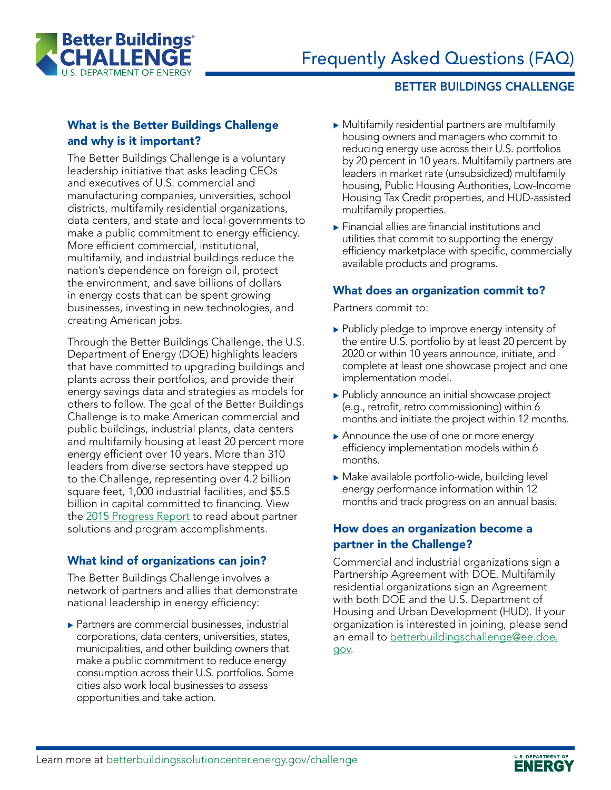

#### BETTER BUILDINGS CHALLENGE

## What is the Better Buildings Challenge and why is it important?

The Better Buildings Challenge is a voluntary leadership initiative that asks leading CEOs and executives of U.S. commercial and manufacturing companies, universities, school districts, multifamily residential organizations, data centers, and state and local governments to make a public commitment to energy efficiency. More efficient commercial, institutional, multifamily, and industrial buildings reduce the nation's dependence on foreign oil, protect the environment, and save billions of dollars in energy costs that can be spent growing businesses, investing in new technologies, and creating American jobs.

Through the Better Buildings Challenge, the U.S. Department of Energy (DOE) highlights leaders that have committed to upgrading buildings and plants across their portfolios, and provide their energy savings data and strategies as models for others to follow. The goal of the Better Buildings Challenge is to make American commercial and public buildings, industrial plants, data centers and multifamily housing at least 20 percent more energy efficient over 10 years. More than 310 leaders from diverse sectors have stepped up to the Challenge, representing over 4.2 billion square feet, 1,000 industrial facilities, and \$5.5 billion in capital committed to financing. View the [2015 Progress Report](http://betterbuildingssolutioncenter.energy.gov/news/better-buildings-progress-report-2015) to read about partner solutions and program accomplishments.

## What kind of organizations can join?

The Better Buildings Challenge involves a network of partners and allies that demonstrate national leadership in energy efficiency:

 $\blacktriangleright$  Partners are commercial businesses, industrial corporations, data centers, universities, states, municipalities, and other building owners that make a public commitment to reduce energy consumption across their U.S. portfolios. Some cities also work local businesses to assess opportunities and take action.

- $\triangleright$  Multifamily residential partners are multifamily housing owners and managers who commit to reducing energy use across their U.S. portfolios by 20 percent in 10 years. Multifamily partners are leaders in market rate (unsubsidized) multifamily housing, Public Housing Authorities, Low-Income Housing Tax Credit properties, and HUD-assisted multifamily properties.
- $\blacktriangleright$  Financial allies are financial institutions and utilities that commit to supporting the energy efficiency marketplace with specific, commercially available products and programs.

## What does an organization commit to?

Partners commit to:

- $\blacktriangleright$  Publicly pledge to improve energy intensity of the entire U.S. portfolio by at least 20 percent by 2020 or within 10 years announce, initiate, and complete at least one showcase project and one implementation model.
- $\blacktriangleright$  Publicly announce an initial showcase project (e.g., retrofit, retro commissioning) within 6 months and initiate the project within 12 months.
- Announce the use of one or more energy efficiency implementation models within 6 months.
- $\blacktriangleright$  Make available portfolio-wide, building level energy performance information within 12 months and track progress on an annual basis.

### How does an organization become a partner in the Challenge?

Commercial and industrial organizations sign a Partnership Agreement with DOE. Multifamily residential organizations sign an Agreement with both DOE and the U.S. Department of Housing and Urban Development (HUD). If your organization is interested in joining, please send an email to [betterbuildingschallenge@ee.doe.](mailto:betterbuildingschallenge%40ee.doe.gov?subject=) [gov](mailto:betterbuildingschallenge%40ee.doe.gov?subject=).

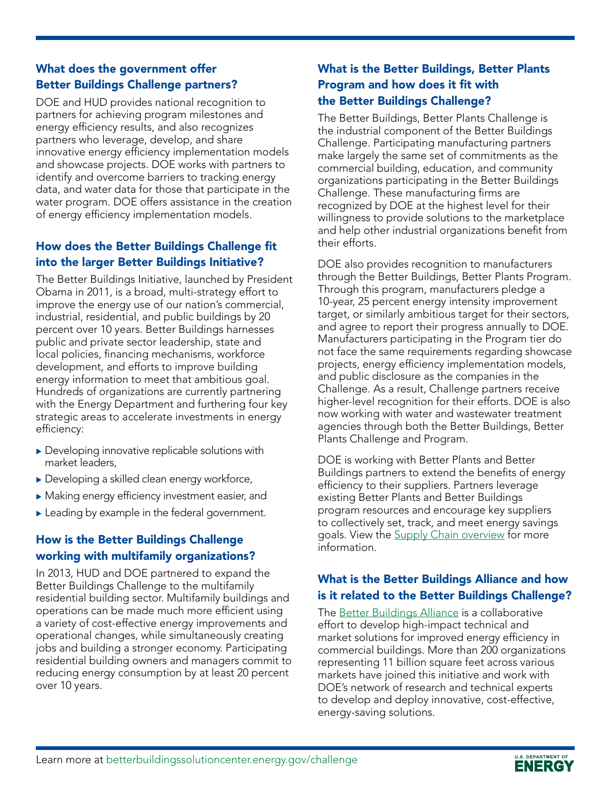## What does the government offer Better Buildings Challenge partners?

DOE and HUD provides national recognition to partners for achieving program milestones and energy efficiency results, and also recognizes partners who leverage, develop, and share innovative energy efficiency implementation models and showcase projects. DOE works with partners to identify and overcome barriers to tracking energy data, and water data for those that participate in the water program. DOE offers assistance in the creation of energy efficiency implementation models.

## How does the Better Buildings Challenge fit into the larger Better Buildings Initiative?

The Better Buildings Initiative, launched by President Obama in 2011, is a broad, multi-strategy effort to improve the energy use of our nation's commercial, industrial, residential, and public buildings by 20 percent over 10 years. Better Buildings harnesses public and private sector leadership, state and local policies, financing mechanisms, workforce development, and efforts to improve building energy information to meet that ambitious goal. Hundreds of organizations are currently partnering with the Energy Department and furthering four key strategic areas to accelerate investments in energy efficiency:

- $\triangleright$  Developing innovative replicable solutions with market leaders,
- $\blacktriangleright$  Developing a skilled clean energy workforce,
- $\blacktriangleright$  Making energy efficiency investment easier, and
- $\blacktriangleright$  Leading by example in the federal government.

# How is the Better Buildings Challenge working with multifamily organizations?

In 2013, HUD and DOE partnered to expand the Better Buildings Challenge to the multifamily residential building sector. Multifamily buildings and operations can be made much more efficient using a variety of cost-effective energy improvements and operational changes, while simultaneously creating jobs and building a stronger economy. Participating residential building owners and managers commit to reducing energy consumption by at least 20 percent over 10 years.

# What is the Better Buildings, Better Plants Program and how does it fit with the Better Buildings Challenge?

The Better Buildings, Better Plants Challenge is the industrial component of the Better Buildings Challenge. Participating manufacturing partners make largely the same set of commitments as the commercial building, education, and community organizations participating in the Better Buildings Challenge. These manufacturing firms are recognized by DOE at the highest level for their willingness to provide solutions to the marketplace and help other industrial organizations benefit from their efforts.

DOE also provides recognition to manufacturers through the Better Buildings, Better Plants Program. Through this program, manufacturers pledge a 10-year, 25 percent energy intensity improvement target, or similarly ambitious target for their sectors, and agree to report their progress annually to DOE. Manufacturers participating in the Program tier do not face the same requirements regarding showcase projects, energy efficiency implementation models, and public disclosure as the companies in the Challenge. As a result, Challenge partners receive higher-level recognition for their efforts. DOE is also now working with water and wastewater treatment agencies through both the Better Buildings, Better Plants Challenge and Program.

DOE is working with Better Plants and Better Buildings partners to extend the benefits of energy efficiency to their suppliers. Partners leverage existing Better Plants and Better Buildings program resources and encourage key suppliers to collectively set, track, and meet energy savings goals. View the [Supply Chain overview](mailto:http://energy.gov/eere/amo/downloads/better-plants-supply-chain-pilot-overview?subject=) for more information.

# What is the Better Buildings Alliance and how is it related to the Better Buildings Challenge?

The [Better Buildings Alliance](mailto:https://www4.eere.energy.gov/alliance/node/9?subject=) is a collaborative effort to develop high-impact technical and market solutions for improved energy efficiency in commercial buildings. More than 200 organizations representing 11 billion square feet across various markets have joined this initiative and work with DOE's network of research and technical experts to develop and deploy innovative, cost-effective, energy-saving solutions.

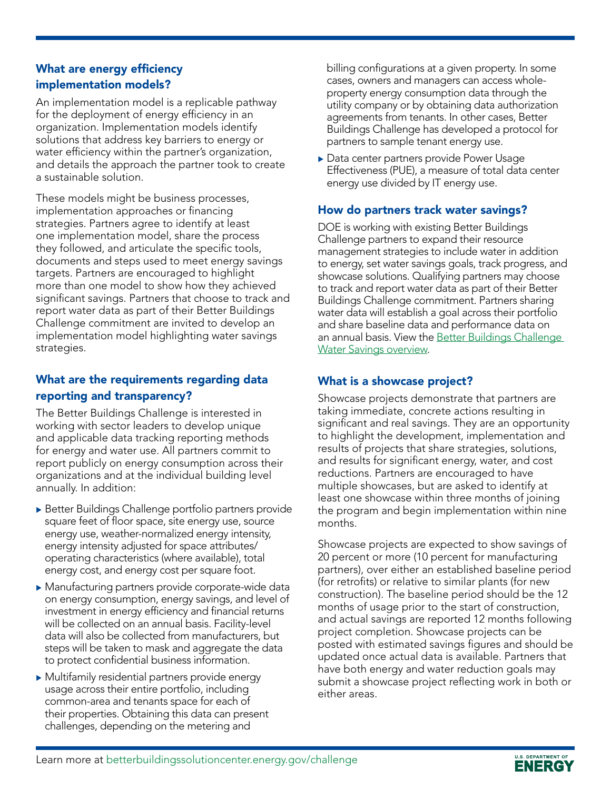### What are energy efficiency implementation models?

An implementation model is a replicable pathway for the deployment of energy efficiency in an organization. Implementation models identify solutions that address key barriers to energy or water efficiency within the partner's organization, and details the approach the partner took to create a sustainable solution.

These models might be business processes, implementation approaches or financing strategies. Partners agree to identify at least one implementation model, share the process they followed, and articulate the specific tools, documents and steps used to meet energy savings targets. Partners are encouraged to highlight more than one model to show how they achieved significant savings. Partners that choose to track and report water data as part of their Better Buildings Challenge commitment are invited to develop an implementation model highlighting water savings strategies.

# What are the requirements regarding data reporting and transparency?

The Better Buildings Challenge is interested in working with sector leaders to develop unique and applicable data tracking reporting methods for energy and water use. All partners commit to report publicly on energy consumption across their organizations and at the individual building level annually. In addition:

- Better Buildings Challenge portfolio partners provide square feet of floor space, site energy use, source energy use, weather-normalized energy intensity, energy intensity adjusted for space attributes/ operating characteristics (where available), total energy cost, and energy cost per square foot.
- $\blacktriangleright$  Manufacturing partners provide corporate-wide data on energy consumption, energy savings, and level of investment in energy efficiency and financial returns will be collected on an annual basis. Facility-level data will also be collected from manufacturers, but steps will be taken to mask and aggregate the data to protect confidential business information.
- $\blacktriangleright$  Multifamily residential partners provide energy usage across their entire portfolio, including common-area and tenants space for each of their properties. Obtaining this data can present challenges, depending on the metering and

billing configurations at a given property. In some cases, owners and managers can access wholeproperty energy consumption data through the utility company or by obtaining data authorization agreements from tenants. In other cases, Better Buildings Challenge has developed a protocol for partners to sample tenant energy use.

Data center partners provide Power Usage Effectiveness (PUE), a measure of total data center energy use divided by IT energy use.

## How do partners track water savings?

DOE is working with existing Better Buildings Challenge partners to expand their resource management strategies to include water in addition to energy, set water savings goals, track progress, and showcase solutions. Qualifying partners may choose to track and report water data as part of their Better Buildings Challenge commitment. Partners sharing water data will establish a goal across their portfolio and share baseline data and performance data on an annual basis. View the Better Buildings Challenge [Water Savings overview](mailto:http://betterbuildingssolutioncenter.energy.gov/sites/default/files/news/attachments/Better-Buildings-Challenge_Water-Savings-Overview.pdf?subject=).

## What is a showcase project?

Showcase projects demonstrate that partners are taking immediate, concrete actions resulting in significant and real savings. They are an opportunity to highlight the development, implementation and results of projects that share strategies, solutions, and results for significant energy, water, and cost reductions. Partners are encouraged to have multiple showcases, but are asked to identify at least one showcase within three months of joining the program and begin implementation within nine months.

Showcase projects are expected to show savings of 20 percent or more (10 percent for manufacturing partners), over either an established baseline period (for retrofits) or relative to similar plants (for new construction). The baseline period should be the 12 months of usage prior to the start of construction, and actual savings are reported 12 months following project completion. Showcase projects can be posted with estimated savings figures and should be updated once actual data is available. Partners that have both energy and water reduction goals may submit a showcase project reflecting work in both or either areas.

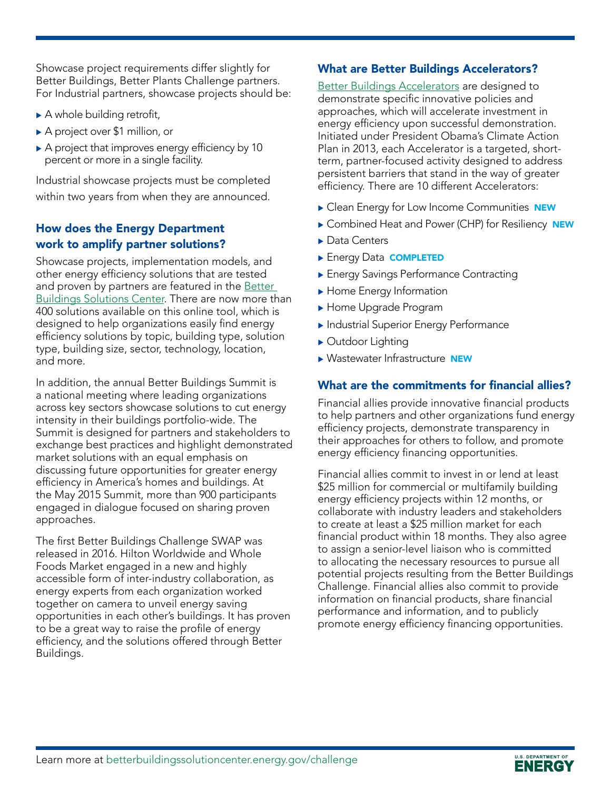Showcase project requirements differ slightly for Better Buildings, Better Plants Challenge partners. For Industrial partners, showcase projects should be:

- $\blacktriangleright$  A whole building retrofit,
- ▶ A project over \$1 million, or
- $\triangleright$  A project that improves energy efficiency by 10 percent or more in a single facility.

Industrial showcase projects must be completed within two years from when they are announced.

## How does the Energy Department work to amplify partner solutions?

Showcase projects, implementation models, and other energy efficiency solutions that are tested and proven by partners are featured in the Better [Buildings Solutions Center](mailto:http://betterbuildingssolutioncenter.energy.gov/?subject=). There are now more than 400 solutions available on this online tool, which is designed to help organizations easily find energy efficiency solutions by topic, building type, solution type, building size, sector, technology, location, and more.

In addition, the annual Better Buildings Summit is a national meeting where leading organizations across key sectors showcase solutions to cut energy intensity in their buildings portfolio-wide. The Summit is designed for partners and stakeholders to exchange best practices and highlight demonstrated market solutions with an equal emphasis on discussing future opportunities for greater energy efficiency in America's homes and buildings. At the May 2015 Summit, more than 900 participants engaged in dialogue focused on sharing proven approaches.

The first Better Buildings Challenge SWAP was released in 2016. Hilton Worldwide and Whole Foods Market engaged in a new and highly accessible form of inter-industry collaboration, as energy experts from each organization worked together on camera to unveil energy saving opportunities in each other's buildings. It has proven to be a great way to raise the profile of energy efficiency, and the solutions offered through Better Buildings.

#### What are Better Buildings Accelerators?

[Better Buildings Accelerators](mailto:http://www1.eere.energy.gov/buildings/betterbuildings/accelerators/?subject=) are designed to demonstrate specific innovative policies and approaches, which will accelerate investment in energy efficiency upon successful demonstration. Initiated under President Obama's Climate Action Plan in 2013, each Accelerator is a targeted, shortterm, partner-focused activity designed to address persistent barriers that stand in the way of greater efficiency. There are 10 different Accelerators:

- **Clean Energy for Low Income Communities NEW**
- Combined Heat and Power (CHP) for Resiliency NEW
- $\blacktriangleright$  Data Centers
- **Energy Data COMPLETED**
- **Energy Savings Performance Contracting**
- $\blacktriangleright$  Home Energy Information
- Home Upgrade Program
- **Industrial Superior Energy Performance**
- Outdoor Lighting
- Wastewater Infrastructure NEW

### What are the commitments for financial allies?

Financial allies provide innovative financial products to help partners and other organizations fund energy efficiency projects, demonstrate transparency in their approaches for others to follow, and promote energy efficiency financing opportunities.

Financial allies commit to invest in or lend at least \$25 million for commercial or multifamily building energy efficiency projects within 12 months, or collaborate with industry leaders and stakeholders to create at least a \$25 million market for each financial product within 18 months. They also agree to assign a senior-level liaison who is committed to allocating the necessary resources to pursue all potential projects resulting from the Better Buildings Challenge. Financial allies also commit to provide information on financial products, share financial performance and information, and to publicly promote energy efficiency financing opportunities.